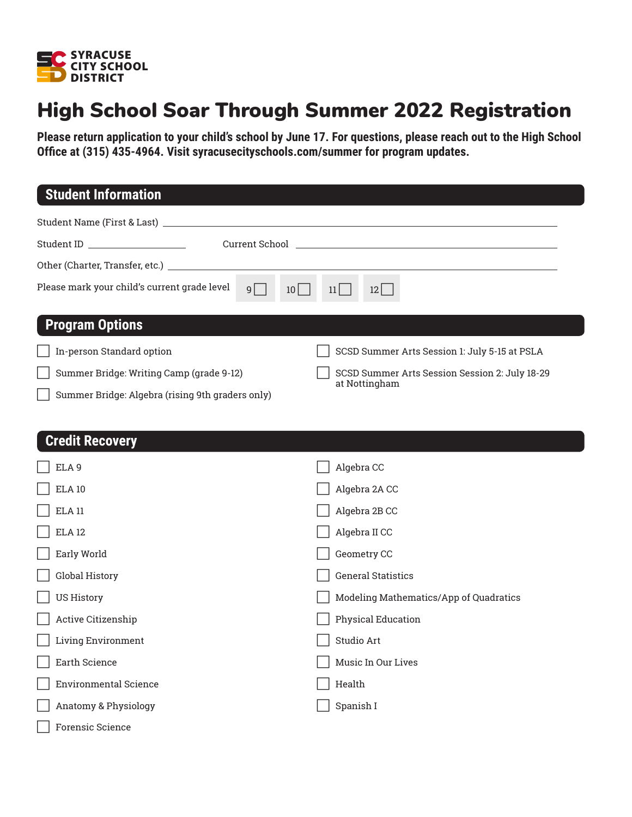

## High School Soar Through Summer 2022 Registration

**Please return application to your child's school by June 17. For questions, please reach out to the High School Office at (315) 435-4964. Visit syracusecityschools.com/summer for program updates.**

| <b>Student Information</b>                                                                 |
|--------------------------------------------------------------------------------------------|
|                                                                                            |
| Student ID ____________________                                                            |
|                                                                                            |
| Please mark your child's current grade level<br>$9\Box$<br>11<br>$10$    <br>12            |
| <b>Program Options</b>                                                                     |
| In-person Standard option<br>SCSD Summer Arts Session 1: July 5-15 at PSLA                 |
| Summer Bridge: Writing Camp (grade 9-12)<br>SCSD Summer Arts Session Session 2: July 18-29 |
| at Nottingham<br>Summer Bridge: Algebra (rising 9th graders only)                          |
|                                                                                            |

| <b>Credit Recovery</b>       |                                        |
|------------------------------|----------------------------------------|
| ELA 9                        | Algebra CC                             |
| <b>ELA 10</b>                | Algebra 2A CC                          |
| <b>ELA 11</b>                | Algebra 2B CC                          |
| <b>ELA 12</b>                | Algebra II CC                          |
| Early World                  | Geometry CC                            |
| Global History               | <b>General Statistics</b>              |
| <b>US History</b>            | Modeling Mathematics/App of Quadratics |
| Active Citizenship           | Physical Education                     |
| Living Environment           | Studio Art                             |
| Earth Science                | Music In Our Lives                     |
| <b>Environmental Science</b> | Health                                 |
| Anatomy & Physiology         | Spanish I                              |
| Forensic Science             |                                        |